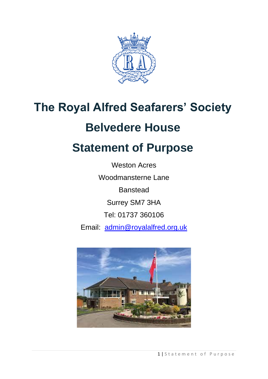

# **The Royal Alfred Seafarers' Society**

## **Belvedere House**

## **Statement of Purpose**

Weston Acres Woodmansterne Lane **Banstead** Surrey SM7 3HA Tel: 01737 360106 Email: [admin@royalalfred.org.uk](mailto:admin@royalalfred.org.uk)

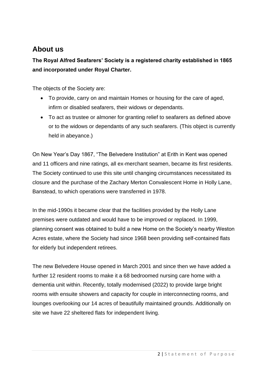#### **About us**

#### **The Royal Alfred Seafarers' Society is a registered charity established in 1865 and incorporated under Royal Charter.**

The objects of the Society are:

- To provide, carry on and maintain Homes or housing for the care of aged, infirm or disabled seafarers, their widows or dependants.
- To act as trustee or almoner for granting relief to seafarers as defined above or to the widows or dependants of any such seafarers. (This object is currently held in abeyance.)

On New Year's Day 1867, "The Belvedere Institution" at Erith in Kent was opened and 11 officers and nine ratings, all ex-merchant seamen, became its first residents. The Society continued to use this site until changing circumstances necessitated its closure and the purchase of the Zachary Merton Convalescent Home in Holly Lane, Banstead, to which operations were transferred in 1978.

In the mid-1990s it became clear that the facilities provided by the Holly Lane premises were outdated and would have to be improved or replaced. In 1999, planning consent was obtained to build a new Home on the Society's nearby Weston Acres estate, where the Society had since 1968 been providing self-contained flats for elderly but independent retirees.

The new Belvedere House opened in March 2001 and since then we have added a further 12 resident rooms to make it a 68 bedroomed nursing care home with a dementia unit within. Recently, totally modernised (2022) to provide large bright rooms with ensuite showers and capacity for couple in interconnecting rooms, and lounges overlooking our 14 acres of beautifully maintained grounds. Additionally on site we have 22 sheltered flats for independent living.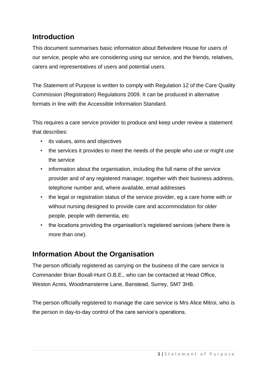#### **Introduction**

This document summarises basic information about Belvedere House for users of our service, people who are considering using our service, and the friends, relatives, carers and representatives of users and potential users.

The Statement of Purpose is written to comply with Regulation 12 of the Care Quality Commission (Registration) Regulations 2009. It can be produced in alternative formats in line with the Accessible Information Standard.

This requires a care service provider to produce and keep under review a statement that describes:

- its values, aims and objectives
- the services it provides to meet the needs of the people who use or might use the service
- information about the organisation, including the full name of the service provider and of any registered manager, together with their business address, telephone number and, where available, email addresses
- the legal or registration status of the service provider, eg a care home with or without nursing designed to provide care and accommodation for older people, people with dementia, etc
- the locations providing the organisation's registered services (where there is more than one).

#### **Information About the Organisation**

The person officially registered as carrying on the business of the care service is Commander Brian Boxall-Hunt O.B.E., who can be contacted at Head Office, Weston Acres, Woodmansterne Lane, Banstead, Surrey, SM7 3HB.

The person officially registered to manage the care service is Mrs Alice Mitroi, who is the person in day-to-day control of the care service's operations.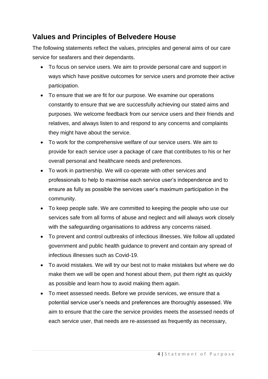#### **Values and Principles of Belvedere House**

The following statements reflect the values, principles and general aims of our care service for seafarers and their dependants.

- To focus on service users. We aim to provide personal care and support in ways which have positive outcomes for service users and promote their active participation.
- To ensure that we are fit for our purpose. We examine our operations constantly to ensure that we are successfully achieving our stated aims and purposes. We welcome feedback from our service users and their friends and relatives, and always listen to and respond to any concerns and complaints they might have about the service.
- To work for the comprehensive welfare of our service users. We aim to provide for each service user a package of care that contributes to his or her overall personal and healthcare needs and preferences.
- To work in partnership. We will co-operate with other services and professionals to help to maximise each service user's independence and to ensure as fully as possible the services user's maximum participation in the community.
- To keep people safe. We are committed to keeping the people who use our services safe from all forms of abuse and neglect and will always work closely with the safeguarding organisations to address any concerns raised.
- To prevent and control outbreaks of infectious illnesses. We follow all updated government and public health guidance to prevent and contain any spread of infectious illnesses such as Covid-19.
- To avoid mistakes. We will try our best not to make mistakes but where we do make them we will be open and honest about them, put them right as quickly as possible and learn how to avoid making them again.
- To meet assessed needs. Before we provide services, we ensure that a potential service user's needs and preferences are thoroughly assessed. We aim to ensure that the care the service provides meets the assessed needs of each service user, that needs are re-assessed as frequently as necessary,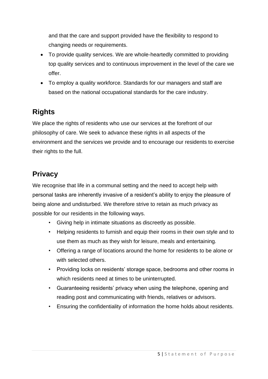and that the care and support provided have the flexibility to respond to changing needs or requirements.

- To provide quality services. We are whole-heartedly committed to providing top quality services and to continuous improvement in the level of the care we offer.
- To employ a quality workforce. Standards for our managers and staff are based on the national occupational standards for the care industry.

#### **Rights**

We place the rights of residents who use our services at the forefront of our philosophy of care. We seek to advance these rights in all aspects of the environment and the services we provide and to encourage our residents to exercise their rights to the full.

#### **Privacy**

We recognise that life in a communal setting and the need to accept help with personal tasks are inherently invasive of a resident's ability to enjoy the pleasure of being alone and undisturbed. We therefore strive to retain as much privacy as possible for our residents in the following ways.

- Giving help in intimate situations as discreetly as possible.
- Helping residents to furnish and equip their rooms in their own style and to use them as much as they wish for leisure, meals and entertaining.
- Offering a range of locations around the home for residents to be alone or with selected others.
- Providing locks on residents' storage space, bedrooms and other rooms in which residents need at times to be uninterrupted.
- Guaranteeing residents' privacy when using the telephone, opening and reading post and communicating with friends, relatives or advisors.
- Ensuring the confidentiality of information the home holds about residents.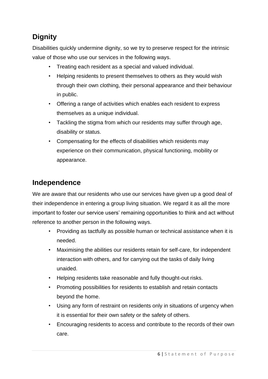### **Dignity**

Disabilities quickly undermine dignity, so we try to preserve respect for the intrinsic value of those who use our services in the following ways.

- Treating each resident as a special and valued individual.
- Helping residents to present themselves to others as they would wish through their own clothing, their personal appearance and their behaviour in public.
- Offering a range of activities which enables each resident to express themselves as a unique individual.
- Tackling the stigma from which our residents may suffer through age, disability or status.
- Compensating for the effects of disabilities which residents may experience on their communication, physical functioning, mobility or appearance.

#### **Independence**

We are aware that our residents who use our services have given up a good deal of their independence in entering a group living situation. We regard it as all the more important to foster our service users' remaining opportunities to think and act without reference to another person in the following ways.

- Providing as tactfully as possible human or technical assistance when it is needed.
- Maximising the abilities our residents retain for self-care, for independent interaction with others, and for carrying out the tasks of daily living unaided.
- Helping residents take reasonable and fully thought-out risks.
- Promoting possibilities for residents to establish and retain contacts beyond the home.
- Using any form of restraint on residents only in situations of urgency when it is essential for their own safety or the safety of others.
- Encouraging residents to access and contribute to the records of their own care.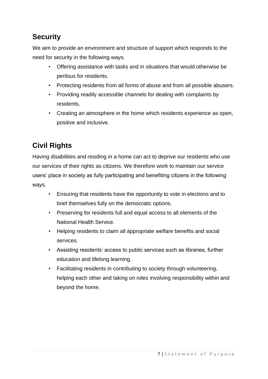### **Security**

We aim to provide an environment and structure of support which responds to the need for security in the following ways.

- Offering assistance with tasks and in situations that would otherwise be perilous for residents.
- Protecting residents from all forms of abuse and from all possible abusers.
- Providing readily accessible channels for dealing with complaints by residents.
- Creating an atmosphere in the home which residents experience as open, positive and inclusive.

### **Civil Rights**

Having disabilities and residing in a home can act to deprive our residents who use our services of their rights as citizens. We therefore work to maintain our service users' place in society as fully participating and benefiting citizens in the following ways.

- Ensuring that residents have the opportunity to vote in elections and to brief themselves fully on the democratic options.
- Preserving for residents full and equal access to all elements of the National Health Service.
- Helping residents to claim all appropriate welfare benefits and social services.
- Assisting residents' access to public services such as libraries, further education and lifelong learning.
- Facilitating residents in contributing to society through volunteering, helping each other and taking on roles involving responsibility within and beyond the home.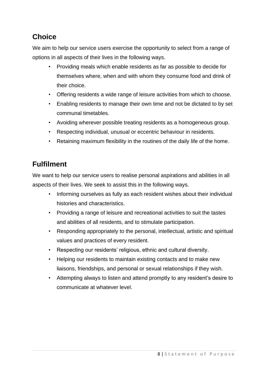#### **Choice**

We aim to help our service users exercise the opportunity to select from a range of options in all aspects of their lives in the following ways.

- Providing meals which enable residents as far as possible to decide for themselves where, when and with whom they consume food and drink of their choice.
- Offering residents a wide range of leisure activities from which to choose.
- Enabling residents to manage their own time and not be dictated to by set communal timetables.
- Avoiding wherever possible treating residents as a homogeneous group.
- Respecting individual, unusual or eccentric behaviour in residents.
- Retaining maximum flexibility in the routines of the daily life of the home.

#### **Fulfilment**

We want to help our service users to realise personal aspirations and abilities in all aspects of their lives. We seek to assist this in the following ways.

- Informing ourselves as fully as each resident wishes about their individual histories and characteristics.
- Providing a range of leisure and recreational activities to suit the tastes and abilities of all residents, and to stimulate participation.
- Responding appropriately to the personal, intellectual, artistic and spiritual values and practices of every resident.
- Respecting our residents' religious, ethnic and cultural diversity.
- Helping our residents to maintain existing contacts and to make new liaisons, friendships, and personal or sexual relationships if they wish.
- Attempting always to listen and attend promptly to any resident's desire to communicate at whatever level.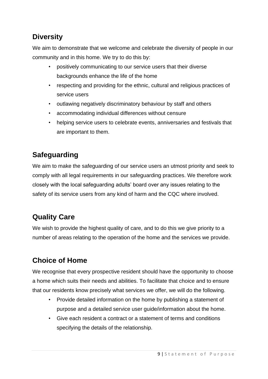#### **Diversity**

We aim to demonstrate that we welcome and celebrate the diversity of people in our community and in this home. We try to do this by:

- positively communicating to our service users that their diverse backgrounds enhance the life of the home
- respecting and providing for the ethnic, cultural and religious practices of service users
- outlawing negatively discriminatory behaviour by staff and others
- accommodating individual differences without censure
- helping service users to celebrate events, anniversaries and festivals that are important to them.

### **Safeguarding**

We aim to make the safeguarding of our service users an utmost priority and seek to comply with all legal requirements in our safeguarding practices. We therefore work closely with the local safeguarding adults' board over any issues relating to the safety of its service users from any kind of harm and the CQC where involved.

#### **Quality Care**

We wish to provide the highest quality of care, and to do this we give priority to a number of areas relating to the operation of the home and the services we provide.

#### **Choice of Home**

We recognise that every prospective resident should have the opportunity to choose a home which suits their needs and abilities. To facilitate that choice and to ensure that our residents know precisely what services we offer, we will do the following.

- Provide detailed information on the home by publishing a statement of purpose and a detailed service user guide/information about the home.
- Give each resident a contract or a statement of terms and conditions specifying the details of the relationship.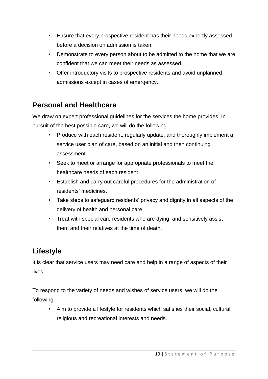- Ensure that every prospective resident has their needs expertly assessed before a decision on admission is taken.
- Demonstrate to every person about to be admitted to the home that we are confident that we can meet their needs as assessed.
- Offer introductory visits to prospective residents and avoid unplanned admissions except in cases of emergency.

#### **Personal and Healthcare**

We draw on expert professional quidelines for the services the home provides. In pursuit of the best possible care, we will do the following.

- Produce with each resident, regularly update, and thoroughly implement a service user plan of care, based on an initial and then continuing assessment.
- Seek to meet or arrange for appropriate professionals to meet the healthcare needs of each resident.
- Establish and carry out careful procedures for the administration of residents' medicines.
- Take steps to safeguard residents' privacy and dignity in all aspects of the delivery of health and personal care.
- Treat with special care residents who are dying, and sensitively assist them and their relatives at the time of death.

#### **Lifestyle**

It is clear that service users may need care and help in a range of aspects of their lives.

To respond to the variety of needs and wishes of service users, we will do the following.

• Aim to provide a lifestyle for residents which satisfies their social, cultural, religious and recreational interests and needs.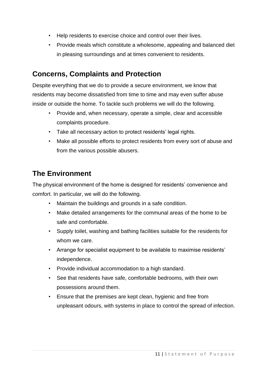- Help residents to exercise choice and control over their lives.
- Provide meals which constitute a wholesome, appealing and balanced diet in pleasing surroundings and at times convenient to residents.

#### **Concerns, Complaints and Protection**

Despite everything that we do to provide a secure environment, we know that residents may become dissatisfied from time to time and may even suffer abuse inside or outside the home. To tackle such problems we will do the following.

- Provide and, when necessary, operate a simple, clear and accessible complaints procedure.
- Take all necessary action to protect residents' legal rights.
- Make all possible efforts to protect residents from every sort of abuse and from the various possible abusers.

#### **The Environment**

The physical environment of the home is designed for residents' convenience and comfort. In particular, we will do the following.

- Maintain the buildings and grounds in a safe condition.
- Make detailed arrangements for the communal areas of the home to be safe and comfortable.
- Supply toilet, washing and bathing facilities suitable for the residents for whom we care.
- Arrange for specialist equipment to be available to maximise residents' independence.
- Provide individual accommodation to a high standard.
- See that residents have safe, comfortable bedrooms, with their own possessions around them.
- Ensure that the premises are kept clean, hygienic and free from unpleasant odours, with systems in place to control the spread of infection.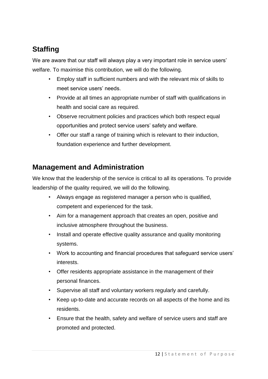### **Staffing**

We are aware that our staff will always play a very important role in service users' welfare. To maximise this contribution, we will do the following.

- Employ staff in sufficient numbers and with the relevant mix of skills to meet service users' needs.
- Provide at all times an appropriate number of staff with qualifications in health and social care as required.
- Observe recruitment policies and practices which both respect equal opportunities and protect service users' safety and welfare.
- Offer our staff a range of training which is relevant to their induction, foundation experience and further development.

#### **Management and Administration**

We know that the leadership of the service is critical to all its operations. To provide leadership of the quality required, we will do the following.

- Always engage as registered manager a person who is qualified, competent and experienced for the task.
- Aim for a management approach that creates an open, positive and inclusive atmosphere throughout the business.
- Install and operate effective quality assurance and quality monitoring systems.
- Work to accounting and financial procedures that safeguard service users' interests.
- Offer residents appropriate assistance in the management of their personal finances.
- Supervise all staff and voluntary workers regularly and carefully.
- Keep up-to-date and accurate records on all aspects of the home and its residents.
- Ensure that the health, safety and welfare of service users and staff are promoted and protected.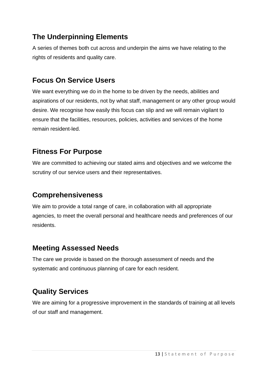#### **The Underpinning Elements**

A series of themes both cut across and underpin the aims we have relating to the rights of residents and quality care.

#### **Focus On Service Users**

We want everything we do in the home to be driven by the needs, abilities and aspirations of our residents, not by what staff, management or any other group would desire. We recognise how easily this focus can slip and we will remain vigilant to ensure that the facilities, resources, policies, activities and services of the home remain resident-led.

#### **Fitness For Purpose**

We are committed to achieving our stated aims and objectives and we welcome the scrutiny of our service users and their representatives.

#### **Comprehensiveness**

We aim to provide a total range of care, in collaboration with all appropriate agencies, to meet the overall personal and healthcare needs and preferences of our residents.

#### **Meeting Assessed Needs**

The care we provide is based on the thorough assessment of needs and the systematic and continuous planning of care for each resident.

#### **Quality Services**

We are aiming for a progressive improvement in the standards of training at all levels of our staff and management.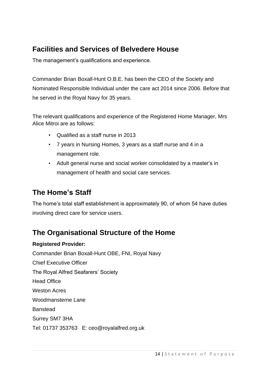#### **Facilities and Services of Belvedere House**

The management's qualifications and experience.

Commander Brian Boxall-Hunt O.B.E. has been the CEO of the Society and Nominated Responsible Individual under the care act 2014 since 2006. Before that he served in the Royal Navy for 35 years.

The relevant qualifications and experience of the Registered Home Manager, Mrs Alice Mitroi are as follows:

- Qualified as a staff nurse in 2013
- 7 years in Nursing Homes, 3 years as a staff nurse and 4 in a management role.
- Adult general nurse and social worker consolidated by a master's in management of health and social care services.

#### **The Home's Staff**

The home's total staff establishment is approximately 90, of whom 54 have duties involving direct care for service users.

#### **The Organisational Structure of the Home**

#### **Registered Provider:**

Commander Brian Boxall-Hunt OBE, FNI, Royal Navy Chief Executive Officer The Royal Alfred Seafarers' Society Head Office Weston Acres Woodmansterne Lane Banstead Surrey SM7 3HA Tel: 01737 353763 E: ceo@royalalfred.org.uk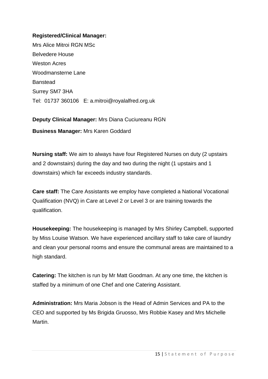#### **Registered/Clinical Manager:**

Mrs Alice Mitroi RGN MSc Belvedere House Weston Acres Woodmansterne Lane **Banstead** Surrey SM7 3HA Tel: 01737 360106 E: a.mitroi@royalalfred.org.uk

**Deputy Clinical Manager:** Mrs Diana Cuciureanu RGN

**Business Manager:** Mrs Karen Goddard

**Nursing staff:** We aim to always have four Registered Nurses on duty (2 upstairs and 2 downstairs) during the day and two during the night (1 upstairs and 1 downstairs) which far exceeds industry standards.

**Care staff:** The Care Assistants we employ have completed a National Vocational Qualification (NVQ) in Care at Level 2 or Level 3 or are training towards the qualification.

**Housekeeping:** The housekeeping is managed by Mrs Shirley Campbell, supported by Miss Louise Watson. We have experienced ancillary staff to take care of laundry and clean your personal rooms and ensure the communal areas are maintained to a high standard.

**Catering:** The kitchen is run by Mr Matt Goodman. At any one time, the kitchen is staffed by a minimum of one Chef and one Catering Assistant.

**Administration:** Mrs Maria Jobson is the Head of Admin Services and PA to the CEO and supported by Ms Brigida Gruosso, Mrs Robbie Kasey and Mrs Michelle Martin.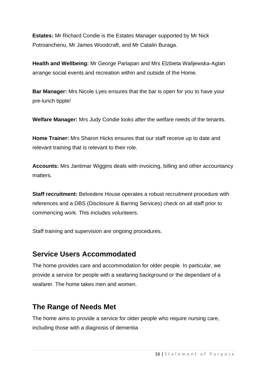**Estates:** Mr Richard Condie is the Estates Manager supported by Mr Nick Potroanchenu, Mr James Woodcraft, and Mr Catalin Buraga.

**Health and Wellbeing:** Mr George Parlapan and Mrs Elzbieta Walijewska-Aglan arrange social events and recreation within and outside of the Home.

**Bar Manager:** Mrs Nicole Lyes ensures that the bar is open for you to have your pre-lunch tipple!

**Welfare Manager:** Mrs Judy Condie looks after the welfare needs of the tenants.

**Home Trainer:** Mrs Sharon Hicks ensures that our staff receive up to date and relevant training that is relevant to their role.

**Accounts:** Mrs Jantimar Wiggins deals with invoicing, billing and other accountancy matters.

**Staff recruitment:** Belvedere House operates a robust recruitment procedure with references and a DBS (Disclosure & Barring Services) check on all staff prior to commencing work. This includes volunteers.

Staff training and supervision are ongoing procedures.

#### **Service Users Accommodated**

The home provides care and accommodation for older people. In particular, we provide a service for people with a seafaring background or the dependant of a seafarer. The home takes men and women.

#### **The Range of Needs Met**

The home aims to provide a service for older people who require nursing care, including those with a diagnosis of dementia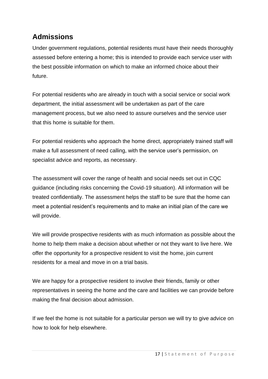#### **Admissions**

Under government regulations, potential residents must have their needs thoroughly assessed before entering a home; this is intended to provide each service user with the best possible information on which to make an informed choice about their future.

For potential residents who are already in touch with a social service or social work department, the initial assessment will be undertaken as part of the care management process, but we also need to assure ourselves and the service user that this home is suitable for them.

For potential residents who approach the home direct, appropriately trained staff will make a full assessment of need calling, with the service user's permission, on specialist advice and reports, as necessary.

The assessment will cover the range of health and social needs set out in CQC guidance (including risks concerning the Covid-19 situation). All information will be treated confidentially. The assessment helps the staff to be sure that the home can meet a potential resident's requirements and to make an initial plan of the care we will provide.

We will provide prospective residents with as much information as possible about the home to help them make a decision about whether or not they want to live here. We offer the opportunity for a prospective resident to visit the home, join current residents for a meal and move in on a trial basis.

We are happy for a prospective resident to involve their friends, family or other representatives in seeing the home and the care and facilities we can provide before making the final decision about admission.

If we feel the home is not suitable for a particular person we will try to give advice on how to look for help elsewhere.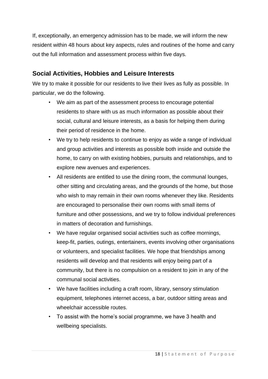If, exceptionally, an emergency admission has to be made, we will inform the new resident within 48 hours about key aspects, rules and routines of the home and carry out the full information and assessment process within five days.

#### **Social Activities, Hobbies and Leisure Interests**

We try to make it possible for our residents to live their lives as fully as possible. In particular, we do the following.

- We aim as part of the assessment process to encourage potential residents to share with us as much information as possible about their social, cultural and leisure interests, as a basis for helping them during their period of residence in the home.
- We try to help residents to continue to enjoy as wide a range of individual and group activities and interests as possible both inside and outside the home, to carry on with existing hobbies, pursuits and relationships, and to explore new avenues and experiences.
- All residents are entitled to use the dining room, the communal lounges, other sitting and circulating areas, and the grounds of the home, but those who wish to may remain in their own rooms whenever they like. Residents are encouraged to personalise their own rooms with small items of furniture and other possessions, and we try to follow individual preferences in matters of decoration and furnishings.
- We have regular organised social activities such as coffee mornings, keep-fit, parties, outings, entertainers, events involving other organisations or volunteers, and specialist facilities. We hope that friendships among residents will develop and that residents will enjoy being part of a community, but there is no compulsion on a resident to join in any of the communal social activities.
- We have facilities including a craft room, library, sensory stimulation equipment, telephones internet access, a bar, outdoor sitting areas and wheelchair accessible routes.
- To assist with the home's social programme, we have 3 health and wellbeing specialists.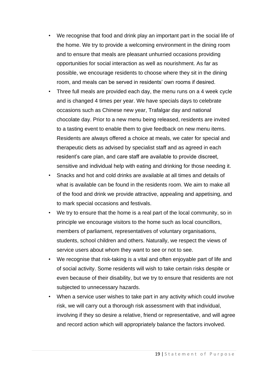- We recognise that food and drink play an important part in the social life of the home. We try to provide a welcoming environment in the dining room and to ensure that meals are pleasant unhurried occasions providing opportunities for social interaction as well as nourishment. As far as possible, we encourage residents to choose where they sit in the dining room, and meals can be served in residents' own rooms if desired.
- Three full meals are provided each day, the menu runs on a 4 week cycle and is changed 4 times per year. We have specials days to celebrate occasions such as Chinese new year, Trafalgar day and national chocolate day. Prior to a new menu being released, residents are invited to a tasting event to enable them to give feedback on new menu items. Residents are always offered a choice at meals, we cater for special and therapeutic diets as advised by specialist staff and as agreed in each resident's care plan, and care staff are available to provide discreet, sensitive and individual help with eating and drinking for those needing it.
- Snacks and hot and cold drinks are available at all times and details of what is available can be found in the residents room. We aim to make all of the food and drink we provide attractive, appealing and appetising, and to mark special occasions and festivals.
- We try to ensure that the home is a real part of the local community, so in principle we encourage visitors to the home such as local councillors, members of parliament, representatives of voluntary organisations, students, school children and others. Naturally, we respect the views of service users about whom they want to see or not to see.
- We recognise that risk-taking is a vital and often enjoyable part of life and of social activity. Some residents will wish to take certain risks despite or even because of their disability, but we try to ensure that residents are not subjected to unnecessary hazards.
- When a service user wishes to take part in any activity which could involve risk, we will carry out a thorough risk assessment with that individual, involving if they so desire a relative, friend or representative, and will agree and record action which will appropriately balance the factors involved.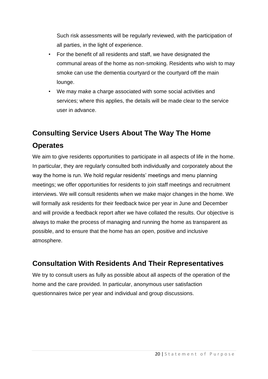Such risk assessments will be regularly reviewed, with the participation of all parties, in the light of experience.

- For the benefit of all residents and staff, we have designated the communal areas of the home as non-smoking. Residents who wish to may smoke can use the dementia courtyard or the courtyard off the main lounge.
- We may make a charge associated with some social activities and services; where this applies, the details will be made clear to the service user in advance.

## **Consulting Service Users About The Way The Home Operates**

We aim to give residents opportunities to participate in all aspects of life in the home. In particular, they are regularly consulted both individually and corporately about the way the home is run. We hold regular residents' meetings and menu planning meetings; we offer opportunities for residents to join staff meetings and recruitment interviews. We will consult residents when we make major changes in the home. We will formally ask residents for their feedback twice per year in June and December and will provide a feedback report after we have collated the results. Our objective is always to make the process of managing and running the home as transparent as possible, and to ensure that the home has an open, positive and inclusive atmosphere.

#### **Consultation With Residents And Their Representatives**

We try to consult users as fully as possible about all aspects of the operation of the home and the care provided. In particular, anonymous user satisfaction questionnaires twice per year and individual and group discussions.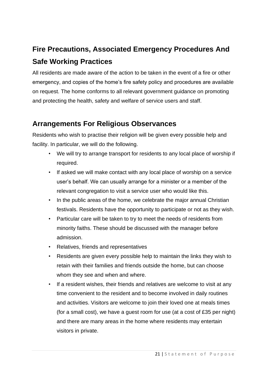### **Fire Precautions, Associated Emergency Procedures And Safe Working Practices**

All residents are made aware of the action to be taken in the event of a fire or other emergency, and copies of the home's fire safety policy and procedures are available on request. The home conforms to all relevant government guidance on promoting and protecting the health, safety and welfare of service users and staff.

#### **Arrangements For Religious Observances**

Residents who wish to practise their religion will be given every possible help and facility. In particular, we will do the following.

- We will try to arrange transport for residents to any local place of worship if required.
- If asked we will make contact with any local place of worship on a service user's behalf. We can usually arrange for a minister or a member of the relevant congregation to visit a service user who would like this.
- In the public areas of the home, we celebrate the major annual Christian festivals. Residents have the opportunity to participate or not as they wish.
- Particular care will be taken to try to meet the needs of residents from minority faiths. These should be discussed with the manager before admission.
- Relatives, friends and representatives
- Residents are given every possible help to maintain the links they wish to retain with their families and friends outside the home, but can choose whom they see and when and where.
- If a resident wishes, their friends and relatives are welcome to visit at any time convenient to the resident and to become involved in daily routines and activities. Visitors are welcome to join their loved one at meals times (for a small cost), we have a guest room for use (at a cost of £35 per night) and there are many areas in the home where residents may entertain visitors in private.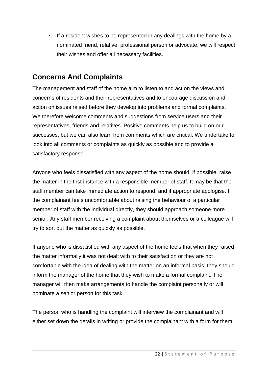If a resident wishes to be represented in any dealings with the home by a nominated friend, relative, professional person or advocate, we will respect their wishes and offer all necessary facilities.

#### **Concerns And Complaints**

The management and staff of the home aim to listen to and act on the views and concerns of residents and their representatives and to encourage discussion and action on issues raised before they develop into problems and formal complaints. We therefore welcome comments and suggestions from service users and their representatives, friends and relatives. Positive comments help us to build on our successes, but we can also learn from comments which are critical. We undertake to look into all comments or complaints as quickly as possible and to provide a satisfactory response.

Anyone who feels dissatisfied with any aspect of the home should, if possible, raise the matter in the first instance with a responsible member of staff. It may be that the staff member can take immediate action to respond, and if appropriate apologise. If the complainant feels uncomfortable about raising the behaviour of a particular member of staff with the individual directly, they should approach someone more senior. Any staff member receiving a complaint about themselves or a colleague will try to sort out the matter as quickly as possible.

If anyone who is dissatisfied with any aspect of the home feels that when they raised the matter informally it was not dealt with to their satisfaction or they are not comfortable with the idea of dealing with the matter on an informal basis, they should inform the manager of the home that they wish to make a formal complaint. The manager will then make arrangements to handle the complaint personally or will nominate a senior person for this task.

The person who is handling the complaint will interview the complainant and will either set down the details in writing or provide the complainant with a form for them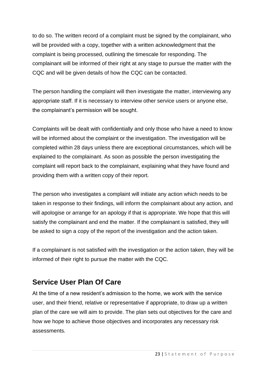to do so. The written record of a complaint must be signed by the complainant, who will be provided with a copy, together with a written acknowledgment that the complaint is being processed, outlining the timescale for responding. The complainant will be informed of their right at any stage to pursue the matter with the CQC and will be given details of how the CQC can be contacted.

The person handling the complaint will then investigate the matter, interviewing any appropriate staff. If it is necessary to interview other service users or anyone else, the complainant's permission will be sought.

Complaints will be dealt with confidentially and only those who have a need to know will be informed about the complaint or the investigation. The investigation will be completed within 28 days unless there are exceptional circumstances, which will be explained to the complainant. As soon as possible the person investigating the complaint will report back to the complainant, explaining what they have found and providing them with a written copy of their report.

The person who investigates a complaint will initiate any action which needs to be taken in response to their findings, will inform the complainant about any action, and will apologise or arrange for an apology if that is appropriate. We hope that this will satisfy the complainant and end the matter. If the complainant is satisfied, they will be asked to sign a copy of the report of the investigation and the action taken.

If a complainant is not satisfied with the investigation or the action taken, they will be informed of their right to pursue the matter with the CQC.

#### **Service User Plan Of Care**

At the time of a new resident's admission to the home, we work with the service user, and their friend, relative or representative if appropriate, to draw up a written plan of the care we will aim to provide. The plan sets out objectives for the care and how we hope to achieve those objectives and incorporates any necessary risk assessments.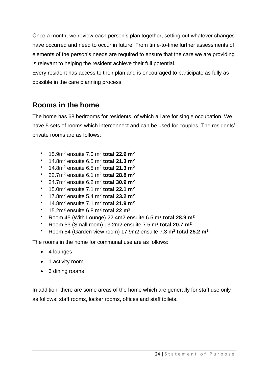Once a month, we review each person's plan together, setting out whatever changes have occurred and need to occur in future. From time-to-time further assessments of elements of the person's needs are required to ensure that the care we are providing is relevant to helping the resident achieve their full potential.

Every resident has access to their plan and is encouraged to participate as fully as possible in the care planning process.

#### **Rooms in the home**

The home has 68 bedrooms for residents, of which all are for single occupation. We have 5 sets of rooms which interconnect and can be used for couples. The residents' private rooms are as follows:

- **•** 15.9m<sup>2</sup> ensuite 7.0 m<sup>2</sup> total 22.9 m<sup>2</sup>
- **•** 14.8m<sup>2</sup> ensuite 6.5 m<sup>2</sup> total 21.3 m<sup>2</sup>
- **•** 14.8m<sup>2</sup> ensuite 6.5 m<sup>2</sup> total 21.3 m<sup>2</sup>
- **•** 22.7m<sup>2</sup> ensuite 6.1 m<sup>2</sup> total 28.8 m<sup>2</sup>
- **•** 24.7m<sup>2</sup> ensuite 6.2 m<sup>2</sup> total 30.9 m<sup>2</sup>
- $\cdot$  15.0m<sup>2</sup> ensuite 7.1 m<sup>2</sup> total 22.1 m<sup>2</sup>
- 17.8m<sup>2</sup> ensuite 5.4 m<sup>2</sup> **total 23.2 m<sup>2</sup>**
- 14.8m<sup>2</sup> ensuite 7.1 m<sup>2</sup> **total 21.9 m<sup>2</sup>**
- **•** 15.2m<sup>2</sup> ensuite 6.8 m<sup>2</sup> total 22 m<sup>2</sup>
- Room 45 (With Lounge) 22.4m2 ensuite  $6.5$  m<sup>2</sup> total 28.9 m<sup>2</sup>
- $\cdot$  Room 53 (Small room) 13.2m2 ensuite 7.5 m<sup>2</sup> total 20.7 m<sup>2</sup>
- **•** Room 54 (Garden view room) 17.9m2 ensuite 7.3 m<sup>2</sup> total 25.2 m<sup>2</sup>

The rooms in the home for communal use are as follows:

- 4 lounges
- 1 activity room
- 3 dining rooms

In addition, there are some areas of the home which are generally for staff use only as follows: staff rooms, locker rooms, offices and staff toilets.